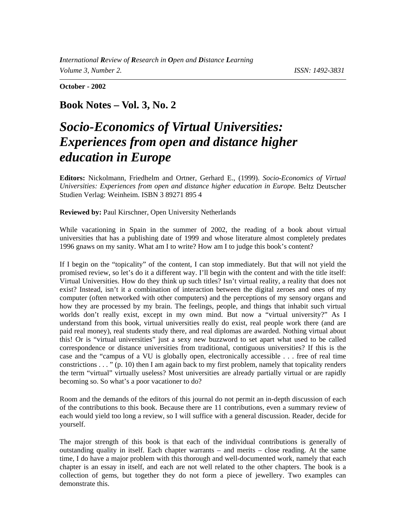**October - 2002** 

**Book Notes – Vol. 3, No. 2** 

## *Socio-Economics of Virtual Universities: Experiences from open and distance higher education in Europe*

**Editors:** Nickolmann, Friedhelm and Ortner, Gerhard E., (1999). *Socio-Economics of Virtual Universities: Experiences from open and distance higher education in Europe.* Beltz Deutscher Studien Verlag: Weinheim. ISBN 3 89271 895 4

**Reviewed by:** Paul Kirschner, Open University Netherlands

While vacationing in Spain in the summer of 2002, the reading of a book about virtual universities that has a publishing date of 1999 and whose literature almost completely predates 1996 gnaws on my sanity. What am I to write? How am I to judge this book's content?

If I begin on the "topicality" of the content, I can stop immediately. But that will not yield the promised review, so let's do it a different way. I'll begin with the content and with the title itself: Virtual Universities. How do they think up such titles? Isn't virtual reality, a reality that does not exist? Instead, isn't it a combination of interaction between the digital zeroes and ones of my computer (often networked with other computers) and the perceptions of my sensory organs and how they are processed by my brain. The feelings, people, and things that inhabit such virtual worlds don't really exist, except in my own mind. But now a "virtual university?" As I understand from this book, virtual universities really do exist, real people work there (and are paid real money), real students study there, and real diplomas are awarded. Nothing virtual about this! Or is "virtual universities" just a sexy new buzzword to set apart what used to be called correspondence or distance universities from traditional, contiguous universities? If this is the case and the "campus of a VU is globally open, electronically accessible . . . free of real time constrictions . . . " (p. 10) then I am again back to my first problem, namely that topicality renders the term "virtual" virtually useless? Most universities are already partially virtual or are rapidly becoming so. So what's a poor vacationer to do?

Room and the demands of the editors of this journal do not permit an in-depth discussion of each of the contributions to this book. Because there are 11 contributions, even a summary review of each would yield too long a review, so I will suffice with a general discussion. Reader, decide for yourself.

The major strength of this book is that each of the individual contributions is generally of outstanding quality in itself. Each chapter warrants – and merits – close reading. At the same time, I do have a major problem with this thorough and well-documented work, namely that each chapter is an essay in itself, and each are not well related to the other chapters. The book is a collection of gems, but together they do not form a piece of jewellery. Two examples can demonstrate this.